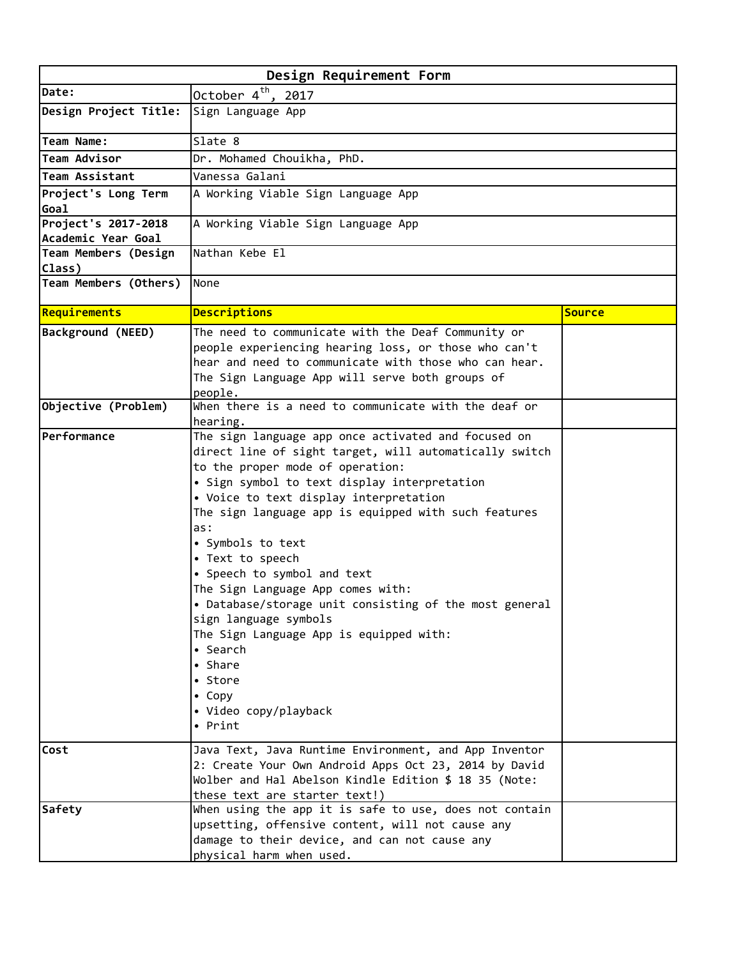| Design Requirement Form     |                                                                 |               |  |
|-----------------------------|-----------------------------------------------------------------|---------------|--|
| Date:                       | October $4^{th}$ , 2017                                         |               |  |
| Design Project Title:       | Sign Language App                                               |               |  |
| Team Name:                  | Slate 8                                                         |               |  |
| Team Advisor                | Dr. Mohamed Chouikha, PhD.                                      |               |  |
| Team Assistant              | Vanessa Galani                                                  |               |  |
| Project's Long Term         | A Working Viable Sign Language App                              |               |  |
| Goal<br>Project's 2017-2018 | A Working Viable Sign Language App                              |               |  |
| Academic Year Goal          |                                                                 |               |  |
| Team Members (Design        | Nathan Kebe El                                                  |               |  |
| Class)                      |                                                                 |               |  |
| Team Members (Others)       | None                                                            |               |  |
| Requirements                | <b>Descriptions</b>                                             | <b>Source</b> |  |
| Background (NEED)           | The need to communicate with the Deaf Community or              |               |  |
|                             | people experiencing hearing loss, or those who can't            |               |  |
|                             | hear and need to communicate with those who can hear.           |               |  |
|                             | The Sign Language App will serve both groups of                 |               |  |
|                             | people.                                                         |               |  |
| Objective (Problem)         | When there is a need to communicate with the deaf or            |               |  |
| Performance                 | hearing.<br>The sign language app once activated and focused on |               |  |
|                             | direct line of sight target, will automatically switch          |               |  |
|                             | to the proper mode of operation:                                |               |  |
|                             | • Sign symbol to text display interpretation                    |               |  |
|                             | • Voice to text display interpretation                          |               |  |
|                             | The sign language app is equipped with such features            |               |  |
|                             | as:                                                             |               |  |
|                             | • Symbols to text                                               |               |  |
|                             | • Text to speech                                                |               |  |
|                             | • Speech to symbol and text                                     |               |  |
|                             | The Sign Language App comes with:                               |               |  |
|                             | • Database/storage unit consisting of the most general          |               |  |
|                             | sign language symbols                                           |               |  |
|                             | The Sign Language App is equipped with:                         |               |  |
|                             | • Search                                                        |               |  |
|                             | • Share                                                         |               |  |
|                             | • Store                                                         |               |  |
|                             | • Copy                                                          |               |  |
|                             | • Video copy/playback                                           |               |  |
|                             | • Print                                                         |               |  |
| Cost                        | Java Text, Java Runtime Environment, and App Inventor           |               |  |
|                             | 2: Create Your Own Android Apps Oct 23, 2014 by David           |               |  |
|                             | Wolber and Hal Abelson Kindle Edition \$ 18 35 (Note:           |               |  |
|                             | these text are starter text!)                                   |               |  |
| Safety                      | When using the app it is safe to use, does not contain          |               |  |
|                             | upsetting, offensive content, will not cause any                |               |  |
|                             | damage to their device, and can not cause any                   |               |  |
|                             | physical harm when used.                                        |               |  |